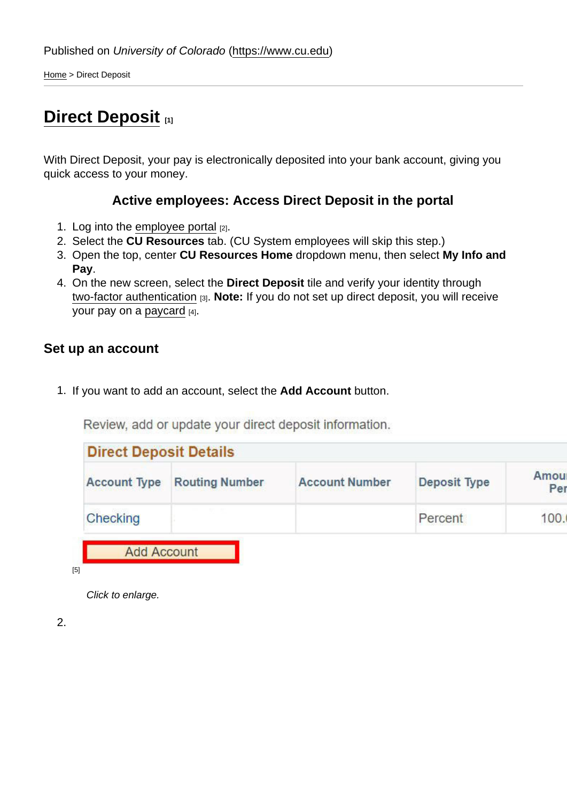Home > Direct Deposit

# **Direct Deposit [1]**

With Direct Deposit, your pay is electronically deposited into your bank account, giving you quick access to your money.

#### **Active employees: Access Direct Deposit in the portal**

- 1. Log into the employee portal  $[2]$ .
- 2. Select the **CU Resources** tab. (CU System employees will skip this step.)
- 3. Open the top, center **CU Resources Home** dropdown menu, then select **My Info and Pay**.
- 4. On the new screen, select the **Direct Deposit** tile and verify your identity through two-factor authentication [3]. **Note:** If you do not set up direct deposit, you will receive your pay on a paycard [4].

### **Set up an account**

1. If you want to add an account, select the **Add Account** button.

Review, add or update your direct deposit information.

| <b>Direct Deposit Details</b> |                       |                       |              | Amoul |
|-------------------------------|-----------------------|-----------------------|--------------|-------|
| <b>Account Type</b>           | <b>Routing Number</b> | <b>Account Number</b> | Deposit Type | Per   |
| Checking                      |                       |                       | Percent      | 100.  |

Click to enlarge.

2.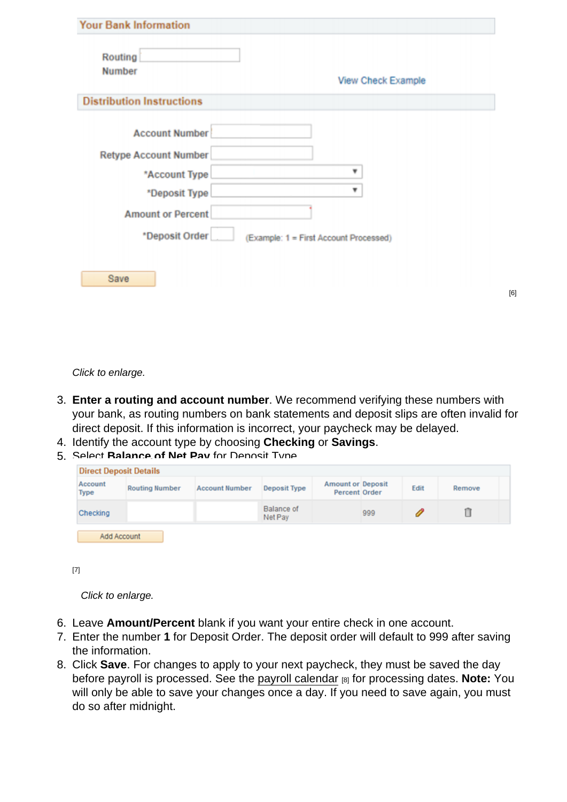| Routing<br><b>Number</b>         | View Check Example                     |
|----------------------------------|----------------------------------------|
| <b>Distribution Instructions</b> |                                        |
| <b>Account Number</b>            |                                        |
| <b>Retype Account Number</b>     |                                        |
| *Account Type                    | ₩                                      |
| *Deposit Type                    |                                        |
| <b>Amount or Percent</b>         |                                        |
| *Deposit Order                   | (Example: 1 = First Account Processed) |

Click to enlarge.

3. **Enter a routing and account number**. We recommend verifying these numbers with your bank, as routing numbers on bank statements and deposit slips are often invalid for direct deposit. If this information is incorrect, your paycheck may be delayed.

[6]

- 4. Identify the account type by choosing **Checking** or **Savings**.
- 5. Select **Balance of Net Pay** for Deposit Type.

| Account<br><b>Type</b> | <b>Routing Number</b> | <b>Account Number</b> | <b>Deposit Type</b>          | <b>Amount or Deposit</b><br><b>Percent Order</b> |     | Edit | Remove |
|------------------------|-----------------------|-----------------------|------------------------------|--------------------------------------------------|-----|------|--------|
| Checking               |                       |                       | <b>Balance of</b><br>Net Pay |                                                  | 999 |      |        |

[7]

Click to enlarge.

- 6. Leave **Amount/Percent** blank if you want your entire check in one account.
- 7. Enter the number **1** for Deposit Order. The deposit order will default to 999 after saving the information.
- 8. Click **Save**. For changes to apply to your next paycheck, they must be saved the day before payroll is processed. See the payroll calendar [8] for processing dates. **Note:** You will only be able to save your changes once a day. If you need to save again, you must do so after midnight.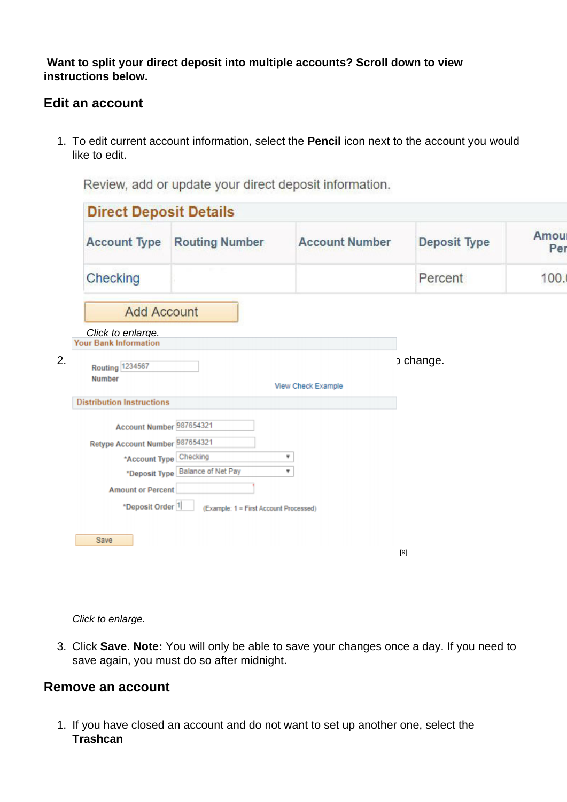**Want to split your direct deposit into multiple accounts? Scroll down to view instructions below.** 

#### **Edit an account**

1. To edit current account information, select the **Pencil** icon next to the account you would like to edit.

**Direct Deposit Details** Amou **Account Type Routing Number Account Number Deposit Type** Per Checking Percent 100. **Add Account Click to enlarge.**<br>**Your Bank Information**  $2.$  Routing  $\frac{1234567}{ }$  behange. **Number** View Check Example **Distribution Instructions** Account Number 987654321 Retype Account Number 987654321 \*Account Type Checking  $\pmb{\mathrm{v}}$ \*Deposit Type Balance of Net Pay  $\overline{\mathbf{v}}$ **Amount or Percent** \*Deposit Order<sup>1</sup> (Example: 1 = First Account Processed) Save

[9]

Review, add or update your direct deposit information.

Click to enlarge.

3. Click **Save**. **Note:** You will only be able to save your changes once a day. If you need to save again, you must do so after midnight.

#### **Remove an account**

1. If you have closed an account and do not want to set up another one, select the **Trashcan**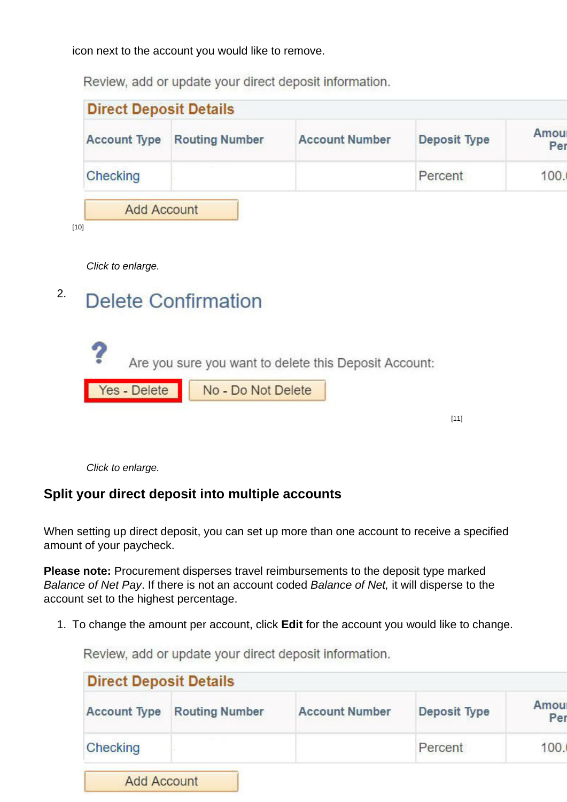icon next to the account you would like to remove.

Review, add or update your direct deposit information.

| <b>Direct Deposit Details</b> |                       |                       |              |             |
|-------------------------------|-----------------------|-----------------------|--------------|-------------|
| <b>Account Type</b>           | <b>Routing Number</b> | <b>Account Number</b> | Deposit Type | Amou<br>Per |
| Checking                      |                       |                       | Percent      |             |
| <b>Add Account</b>            |                       |                       |              |             |
| $[10]$                        |                       |                       |              |             |

Click to enlarge.

# <sup>2.</sup> Delete Confirmation

|              | Are you sure you want to delete this Deposit Account: |  |
|--------------|-------------------------------------------------------|--|
| Yes - Delete | No - Do Not Delete                                    |  |
|              |                                                       |  |

[11]

Click to enlarge.

## **Split your direct deposit into multiple accounts**

When setting up direct deposit, you can set up more than one account to receive a specified amount of your paycheck.

**Please note:** Procurement disperses travel reimbursements to the deposit type marked Balance of Net Pay. If there is not an account coded Balance of Net, it will disperse to the account set to the highest percentage.

1. To change the amount per account, click **Edit** for the account you would like to change.

Review, add or update your direct deposit information.

| <b>Direct Deposit Details</b> |                       |                       |                     |             |
|-------------------------------|-----------------------|-----------------------|---------------------|-------------|
| <b>Account Type</b>           | <b>Routing Number</b> | <b>Account Number</b> | <b>Deposit Type</b> | Amou<br>Per |
| Checking                      |                       |                       | Percent             | 100.        |
| <b>Add Account</b>            |                       |                       |                     |             |